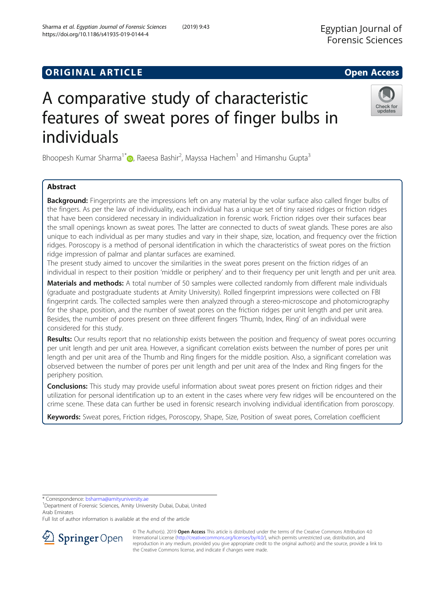## **ORIGINAL ARTICLE CONSERVANCE IN A LOCAL CONSERVANCE IN A LOCAL CONSERVANCE IN A LOCAL CONSERVANCE IN A LOCAL CONS**

https://doi.org/10.1186/s41935-019-0144-4

# A comparative study of characteristic features of sweat pores of finger bulbs in individuals

Bhoopesh Kumar Sharma<sup>1\*</sup> D[,](http://orcid.org/0000-0002-5528-6558) Raeesa Bashir<sup>2</sup>, Mayssa Hachem<sup>1</sup> and Himanshu Gupta<sup>3</sup>

## Abstract

Background: Fingerprints are the impressions left on any material by the volar surface also called finger bulbs of the fingers. As per the law of individuality, each individual has a unique set of tiny raised ridges or friction ridges that have been considered necessary in individualization in forensic work. Friction ridges over their surfaces bear the small openings known as sweat pores. The latter are connected to ducts of sweat glands. These pores are also unique to each individual as per many studies and vary in their shape, size, location, and frequency over the friction ridges. Poroscopy is a method of personal identification in which the characteristics of sweat pores on the friction ridge impression of palmar and plantar surfaces are examined.

The present study aimed to uncover the similarities in the sweat pores present on the friction ridges of an individual in respect to their position 'middle or periphery' and to their frequency per unit length and per unit area.

Materials and methods: A total number of 50 samples were collected randomly from different male individuals (graduate and postgraduate students at Amity University). Rolled fingerprint impressions were collected on FBI fingerprint cards. The collected samples were then analyzed through a stereo-microscope and photomicrography for the shape, position, and the number of sweat pores on the friction ridges per unit length and per unit area. Besides, the number of pores present on three different fingers 'Thumb, Index, Ring' of an individual were considered for this study.

Results: Our results report that no relationship exists between the position and frequency of sweat pores occurring per unit length and per unit area. However, a significant correlation exists between the number of pores per unit length and per unit area of the Thumb and Ring fingers for the middle position. Also, a significant correlation was observed between the number of pores per unit length and per unit area of the Index and Ring fingers for the periphery position.

Conclusions: This study may provide useful information about sweat pores present on friction ridges and their utilization for personal identification up to an extent in the cases where very few ridges will be encountered on the crime scene. These data can further be used in forensic research involving individual identification from poroscopy.

Keywords: Sweat pores, Friction ridges, Poroscopy, Shape, Size, Position of sweat pores, Correlation coefficient

\* Correspondence: [bsharma@amityuniversity.ae](mailto:bsharma@amityuniversity.ae) <sup>1</sup>

<sup>1</sup>Department of Forensic Sciences, Amity University Dubai, Dubai, United Arab Emirates

Full list of author information is available at the end of the article

© The Author(s). 2019 Open Access This article is distributed under the terms of the Creative Commons Attribution 4.0 SpringerOpen International License ([http://creativecommons.org/licenses/by/4.0/\)](http://creativecommons.org/licenses/by/4.0/), which permits unrestricted use, distribution, and reproduction in any medium, provided you give appropriate credit to the original author(s) and the source, provide a link to the Creative Commons license, and indicate if changes were made.

Sharma et al. Egyptian Journal of Forensic Sciences (2019) 9:43

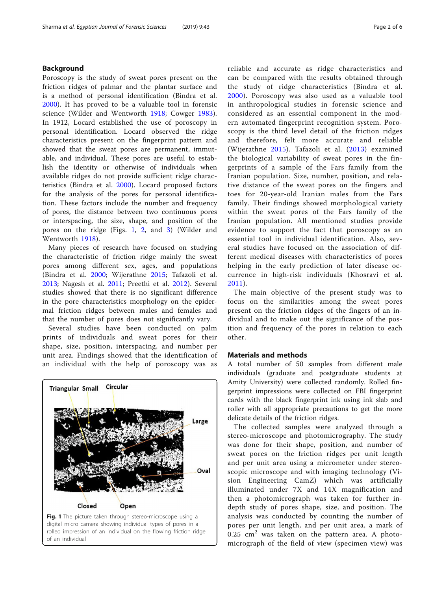## Background

Poroscopy is the study of sweat pores present on the friction ridges of palmar and the plantar surface and is a method of personal identification (Bindra et al. [2000\)](#page-5-0). It has proved to be a valuable tool in forensic science (Wilder and Wentworth [1918](#page-5-0); Cowger [1983](#page-5-0)). In 1912, Locard established the use of poroscopy in personal identification. Locard observed the ridge characteristics present on the fingerprint pattern and showed that the sweat pores are permanent, immutable, and individual. These pores are useful to establish the identity or otherwise of individuals when available ridges do not provide sufficient ridge characteristics (Bindra et al. [2000\)](#page-5-0). Locard proposed factors for the analysis of the pores for personal identification. These factors include the number and frequency of pores, the distance between two continuous pores or interspacing, the size, shape, and position of the pores on the ridge (Figs. 1, [2,](#page-2-0) and [3](#page-2-0)) (Wilder and Wentworth [1918](#page-5-0)).

Many pieces of research have focused on studying the characteristic of friction ridge mainly the sweat pores among different sex, ages, and populations (Bindra et al. [2000;](#page-5-0) Wijerathne [2015;](#page-5-0) Tafazoli et al. [2013;](#page-5-0) Nagesh et al. [2011](#page-5-0); Preethi et al. [2012](#page-5-0)). Several studies showed that there is no significant difference in the pore characteristics morphology on the epidermal friction ridges between males and females and that the number of pores does not significantly vary.

Several studies have been conducted on palm prints of individuals and sweat pores for their shape, size, position, interspacing, and number per unit area. Findings showed that the identification of an individual with the help of poroscopy was as



digital micro camera showing individual types of pores in a rolled impression of an individual on the flowing friction ridge of an individual

reliable and accurate as ridge characteristics and can be compared with the results obtained through the study of ridge characteristics (Bindra et al. [2000\)](#page-5-0). Poroscopy was also used as a valuable tool in anthropological studies in forensic science and considered as an essential component in the modern automated fingerprint recognition system. Poroscopy is the third level detail of the friction ridges and therefore, felt more accurate and reliable (Wijerathne [2015](#page-5-0)). Tafazoli et al. ([2013](#page-5-0)) examined the biological variability of sweat pores in the fingerprints of a sample of the Fars family from the Iranian population. Size, number, position, and relative distance of the sweat pores on the fingers and toes for 20-year-old Iranian males from the Fars family. Their findings showed morphological variety within the sweat pores of the Fars family of the Iranian population. All mentioned studies provide evidence to support the fact that poroscopy as an essential tool in individual identification. Also, several studies have focused on the association of different medical diseases with characteristics of pores helping in the early prediction of later disease occurrence in high-risk individuals (Khosravi et al. [2011\)](#page-5-0).

The main objective of the present study was to focus on the similarities among the sweat pores present on the friction ridges of the fingers of an individual and to make out the significance of the position and frequency of the pores in relation to each other.

## Materials and methods

A total number of 50 samples from different male individuals (graduate and postgraduate students at Amity University) were collected randomly. Rolled fingerprint impressions were collected on FBI fingerprint cards with the black fingerprint ink using ink slab and roller with all appropriate precautions to get the more delicate details of the friction ridges.

The collected samples were analyzed through a stereo-microscope and photomicrography. The study was done for their shape, position, and number of sweat pores on the friction ridges per unit length and per unit area using a micrometer under stereoscopic microscope and with imaging technology (Vision Engineering CamZ) which was artificially illuminated under 7X and 14X magnification and then a photomicrograph was taken for further indepth study of pores shape, size, and position. The analysis was conducted by counting the number of pores per unit length, and per unit area, a mark of  $0.25$  cm<sup>2</sup> was taken on the pattern area. A photomicrograph of the field of view (specimen view) was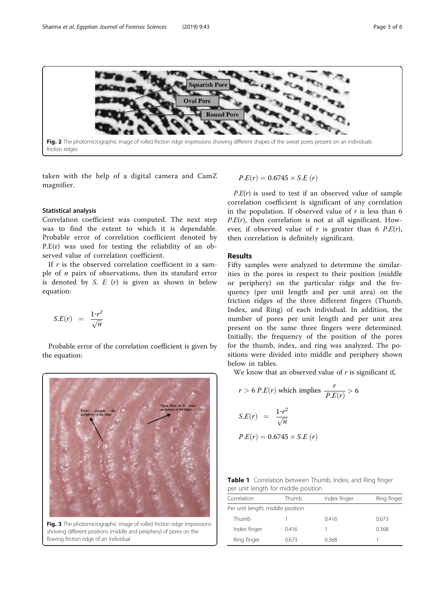<span id="page-2-0"></span>

taken with the help of a digital camera and CamZ magnifier.

### Statistical analysis

Correlation coefficient was computed. The next step was to find the extent to which it is dependable. Probable error of correlation coefficient denoted by P.E(r) was used for testing the reliability of an observed value of correlation coefficient.

If  $r$  is the observed correlation coefficient in a sample of  $n$  pairs of observations, then its standard error is denoted by S.  $E(r)$  is given as shown in below equation:

$$
S.E(r) = \frac{1-r^2}{\sqrt{n}}
$$

Probable error of the correlation coefficient is given by the equation:



Fig. 3 The photomicrographic image of rolled friction ridge impressions showing different positions (middle and periphery) of pores on the flowing friction ridge of an individual

 $P.E(r) = 0.6745 \times S.E(r)$ 

 $P.E(r)$  is used to test if an observed value of sample correlation coefficient is significant of any correlation in the population. If observed value of  $r$  is less than 6  $P.E(r)$ , then correlation is not at all significant. However, if observed value of r is greater than 6  $P.E(r)$ , then correlation is definitely significant.

## Results

Fifty samples were analyzed to determine the similarities in the pores in respect to their position (middle or periphery) on the particular ridge and the frequency (per unit length and per unit area) on the friction ridges of the three different fingers (Thumb, Index, and Ring) of each individual. In addition, the number of pores per unit length and per unit area present on the same three fingers were determined. Initially, the frequency of the position of the pores for the thumb, index, and ring was analyzed. The positions were divided into middle and periphery shown below in tables.

We know that an observed value of  $r$  is significant if,

$$
r > 6 P.E(r)
$$
 which implies  $\frac{r}{P.E(r)} > 6$   
  
 $S.E(r) = \frac{1-r^2}{\sqrt{n}}$   
  
 $P.E(r) = 0.6745 \times S.E(r)$ 

Table 1 Correlation between Thumb, Index, and Ring finger per unit length for middle position

| Correlation                      | Thumb | Index finger | Ring finger |
|----------------------------------|-------|--------------|-------------|
| Per unit length, middle position |       |              |             |
| Thumb                            |       | 0.416        | 0.673       |
| Index finger                     | 0.416 |              | 0.368       |
| Ring finger                      | 0.673 | 0.368        |             |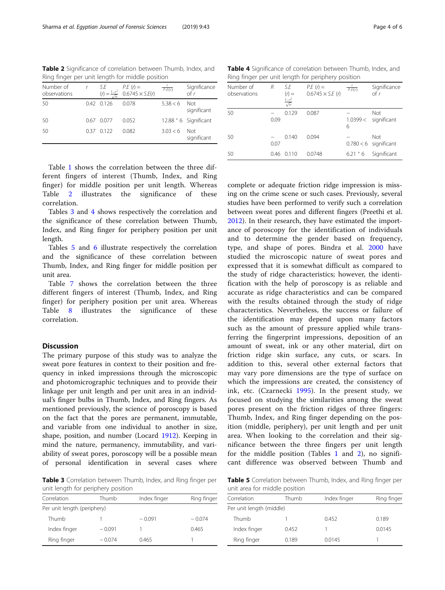<span id="page-3-0"></span>Table 2 Significance of correlation between Thumb, Index, and Ring finger per unit length for middle position

| Number of<br>observations |     |              | S.E $P.E (r) =$<br>$(r) = \frac{1-r^2}{\sqrt{n}}$ 0.6745 × S.E(r) | P.E(r)   | Significance<br>of r |
|---------------------------|-----|--------------|-------------------------------------------------------------------|----------|----------------------|
| 50                        |     | $0.42$ 0.126 | 0.078                                                             | 5.38 < 6 | Not<br>significant   |
| 50                        | 067 | 0077         | 0.052                                                             |          | 12.88 6 Significant  |
| 50                        |     | 037 0122     | 0.082                                                             | 3.03 < 6 | Not<br>significant   |

Table 4 Significance of correlation between Thumb, Index, and Ring finger per unit length for periphery position

| Number of<br>observations | R    | S.F<br>$(r) =$           | $P.E(r) =$<br>$0.6745 \times S.E(r)$ | P.E(r)                | Significance<br>of r                  |
|---------------------------|------|--------------------------|--------------------------------------|-----------------------|---------------------------------------|
|                           |      | $\frac{1-r^2}{\sqrt{n}}$ |                                      |                       |                                       |
| 50                        | 0.09 | 0.129                    | 0.087                                | 1.0399 <<br>6         | Not<br>significant                    |
| 50                        | 0.07 | 0.140                    | 0.094                                |                       | <b>Not</b><br>$0.780 < 6$ significant |
| 50                        | 0.46 | 0.110                    | 0.0748                               | $6.21 \t{^{\circ} 6}$ | Significant                           |

Table [1](#page-2-0) shows the correlation between the three different fingers of interest (Thumb, Index, and Ring finger) for middle position per unit length. Whereas Table 2 illustrates the significance of these correlation.

Tables 3 and 4 shows respectively the correlation and the significance of these correlation between Thumb, Index, and Ring finger for periphery position per unit length.

Tables 5 and [6](#page-4-0) illustrate respectively the correlation and the significance of these correlation between Thumb, Index, and Ring finger for middle position per unit area.

Table [7](#page-4-0) shows the correlation between the three different fingers of interest (Thumb, Index, and Ring finger) for periphery position per unit area. Whereas Table [8](#page-4-0) illustrates the significance of these correlation.

## **Discussion**

The primary purpose of this study was to analyze the sweat pore features in context to their position and frequency in inked impressions through the microscopic and photomicrographic techniques and to provide their linkage per unit length and per unit area in an individual's finger bulbs in Thumb, Index, and Ring fingers. As mentioned previously, the science of poroscopy is based on the fact that the pores are permanent, immutable, and variable from one individual to another in size, shape, position, and number (Locard [1912\)](#page-5-0). Keeping in mind the nature, permanency, immutability, and variability of sweat pores, poroscopy will be a possible mean of personal identification in several cases where

Table 3 Correlation between Thumb, Index, and Ring finger per unit length for periphery position

| Correlation                 | Thumb    | Index finger | Ring finger |
|-----------------------------|----------|--------------|-------------|
| Per unit length (periphery) |          |              |             |
| Thumb                       |          | $-0.091$     | $-0.074$    |
| Index finger                | $-0.091$ |              | 0.465       |
| Ring finger                 | $-0.074$ | 0.465        |             |

complete or adequate friction ridge impression is missing on the crime scene or such cases. Previously, several studies have been performed to verify such a correlation between sweat pores and different fingers (Preethi et al. [2012](#page-5-0)). In their research, they have estimated the importance of poroscopy for the identification of individuals and to determine the gender based on frequency, type, and shape of pores. Bindra et al. [2000](#page-5-0) have studied the microscopic nature of sweat pores and expressed that it is somewhat difficult as compared to the study of ridge characteristics; however, the identification with the help of poroscopy is as reliable and accurate as ridge characteristics and can be compared with the results obtained through the study of ridge characteristics. Nevertheless, the success or failure of the identification may depend upon many factors such as the amount of pressure applied while transferring the fingerprint impressions, deposition of an amount of sweat, ink or any other material, dirt on friction ridge skin surface, any cuts, or scars. In addition to this, several other external factors that may vary pore dimensions are the type of surface on which the impressions are created, the consistency of ink, etc. (Czarnecki [1995\)](#page-5-0). In the present study, we focused on studying the similarities among the sweat pores present on the friction ridges of three fingers: Thumb, Index, and Ring finger depending on the position (middle, periphery), per unit length and per unit area. When looking to the correlation and their significance between the three fingers per unit length for the middle position (Tables  $1$  and  $2$ ), no significant difference was observed between Thumb and

Table 5 Correlation between Thumb, Index, and Ring finger per unit area for middle position

| Thumb | Index finger | Ring finger     |  |  |  |
|-------|--------------|-----------------|--|--|--|
|       |              |                 |  |  |  |
|       |              | 0.189           |  |  |  |
| 0.452 |              | 0.0145          |  |  |  |
| 0.189 |              |                 |  |  |  |
|       |              | 0.452<br>0.0145 |  |  |  |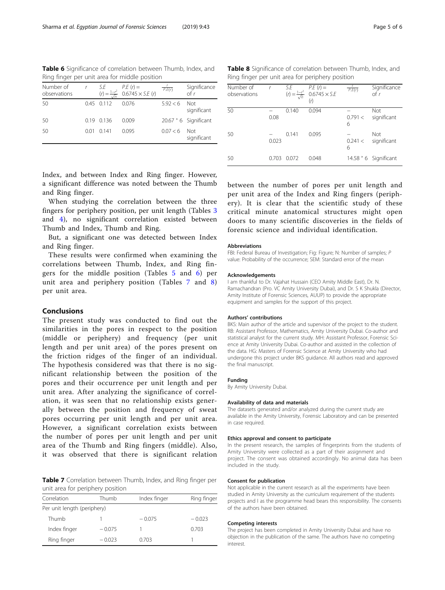| hing miger per unit area for middle position |      |            |                                                                    |          |                      |
|----------------------------------------------|------|------------|--------------------------------------------------------------------|----------|----------------------|
| Number of<br>observations                    |      |            | S.E $P.E (r) =$<br>$(r) = \frac{1-r^2}{\sqrt{n}}$ 0.6745 × S.E (r) | P.E(r)   | Significance<br>of r |
| 50                                           |      | 0.45 0.112 | 0.076                                                              | 5.92 < 6 | Not<br>significant   |
| 50                                           |      | 0.19 0.136 | 0.009                                                              |          | 20.67 6 Significant  |
| 50                                           | 0.01 | 0.141      | 0.095                                                              | 0.07 < 6 | Not<br>significant   |

<span id="page-4-0"></span>Table 6 Significance of correlation between Thumb, Index, and Ring finger per unit area for middle position

Table 8 Significance of correlation between Thumb, Index, and Ring finger per unit area for periphery position

| Number of<br>observations |       | S.E   | $P.E(r) =$<br>$(r) = \frac{1-r^2}{\sqrt{n}}$ 0.6745 × S.E<br>(r) | P.E(r)       | Significance<br>of r      |
|---------------------------|-------|-------|------------------------------------------------------------------|--------------|---------------------------|
| 50                        | 0.08  | 0.140 | 0.094                                                            | 0.791 <<br>6 | Not<br>significant        |
| 50                        | 0.023 | 0.141 | 0.095                                                            | 0.241 <<br>6 | <b>Not</b><br>significant |
| 50                        | 0.703 | 0.072 | 0.048                                                            |              | 14.58 6 Significant       |

Index, and between Index and Ring finger. However, a significant difference was noted between the Thumb and Ring finger.

When studying the correlation between the three fingers for periphery position, per unit length (Tables [3](#page-3-0) and [4\)](#page-3-0), no significant correlation existed between Thumb and Index, Thumb and Ring.

But, a significant one was detected between Index and Ring finger.

These results were confirmed when examining the correlations between Thumb, Index, and Ring fingers for the middle position (Tables [5](#page-3-0) and 6) per unit area and periphery position (Tables 7 and 8) per unit area.

## Conclusions

The present study was conducted to find out the similarities in the pores in respect to the position (middle or periphery) and frequency (per unit length and per unit area) of the pores present on the friction ridges of the finger of an individual. The hypothesis considered was that there is no significant relationship between the position of the pores and their occurrence per unit length and per unit area. After analyzing the significance of correlation, it was seen that no relationship exists generally between the position and frequency of sweat pores occurring per unit length and per unit area. However, a significant correlation exists between the number of pores per unit length and per unit area of the Thumb and Ring fingers (middle). Also, it was observed that there is significant relation

Table 7 Correlation between Thumb, Index, and Ring finger per unit area for periphery position

| Correlation                 | Thumb    | Index finger | Ring finger |  |
|-----------------------------|----------|--------------|-------------|--|
| Per unit length (periphery) |          |              |             |  |
| Thumb                       |          | $-0.075$     | $-0.023$    |  |
| Index finger                | $-0.075$ |              | 0.703       |  |
| Ring finger                 | $-0.023$ | 0.703        |             |  |

between the number of pores per unit length and per unit area of the Index and Ring fingers (periphery). It is clear that the scientific study of these critical minute anatomical structures might open doors to many scientific discoveries in the fields of forensic science and individual identification.

#### Abbreviations

FBI: Federal Bureau of Investigation; Fig: Figure; N: Number of samples; P value: Probability of the occurrence; SEM: Standard error of the mean

#### Acknowledgements

I am thankful to Dr. Vajahat Hussain (CEO Amity Middle East), Dr. N. Ramachandran (Pro. VC Amity University Dubai), and Dr. S K Shukla (Director, Amity Institute of Forensic Sciences, AUUP) to provide the appropriate equipment and samples for the support of this project.

#### Authors' contributions

BKS: Main author of the article and supervisor of the project to the student. RB: Assistant Professor, Mathematics, Amity University Dubai. Co-author and statistical analyst for the current study. MH: Assistant Professor, Forensic Science at Amity University Dubai. Co-author and assisted in the collection of the data. HG: Masters of Forensic Science at Amity University who had undergone this project under BKS guidance. All authors read and approved the final manuscript.

#### Funding

By Amity University Dubai.

#### Availability of data and materials

The datasets generated and/or analyzed during the current study are available in the Amity University, Forensic Laboratory and can be presented in case required.

#### Ethics approval and consent to participate

In the present research, the samples of fingerprints from the students of Amity University were collected as a part of their assignment and project. The consent was obtained accordingly. No animal data has been included in the study.

#### Consent for publication

Not applicable in the current research as all the experiments have been studied in Amity University as the curriculum requirement of the students projects and I as the programme head bears this responsibility. The consents of the authors have been obtained.

#### Competing interests

The project has been completed in Amity University Dubai and have no objection in the publication of the same. The authors have no competing interest.